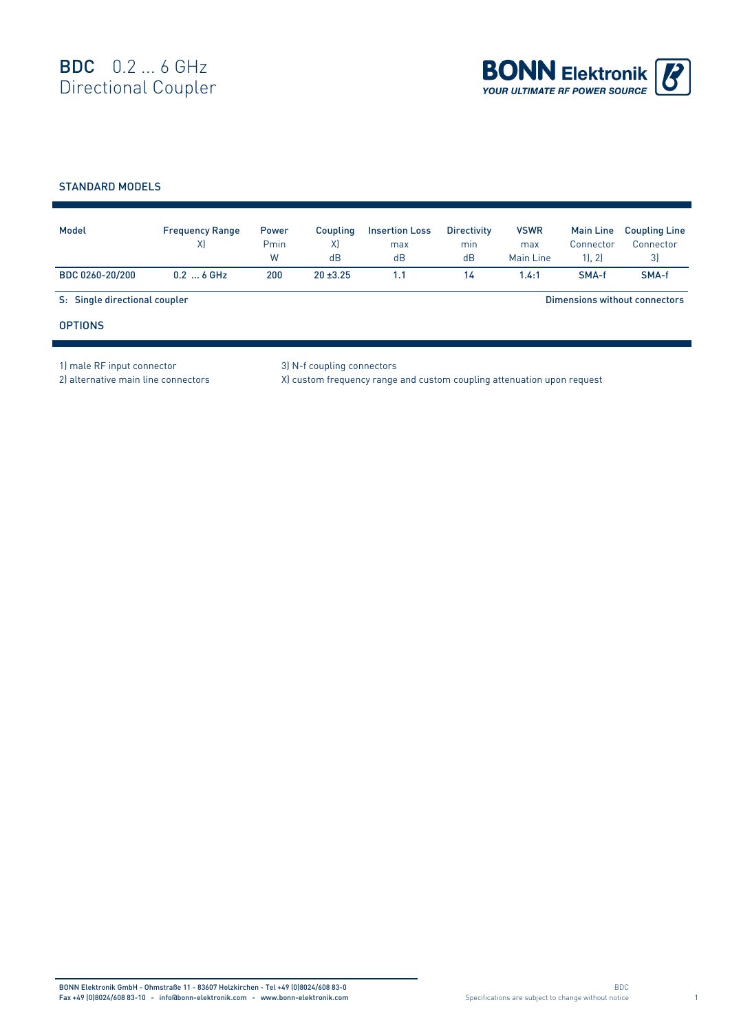

## STANDARD MODELS

| Model                         | <b>Frequency Range</b><br>X) | <b>Power</b><br>Pmin<br>W | Coupling<br>X)<br>dB | <b>Insertion Loss</b><br>max<br>dB | <b>Directivity</b><br>min<br>dB | <b>VSWR</b><br>max<br>Main Line | <b>Main Line</b><br>Connector<br>1, 2 | <b>Coupling Line</b><br>Connector<br>3 |
|-------------------------------|------------------------------|---------------------------|----------------------|------------------------------------|---------------------------------|---------------------------------|---------------------------------------|----------------------------------------|
| BDC 0260-20/200               | $0.2$ 6 GHz                  | 200                       | $20 + 3.25$          | 1.1                                | 14                              | 1.4:1                           | SMA-f                                 | SMA-f                                  |
| S: Single directional coupler |                              |                           |                      |                                    | Dimensions without connectors   |                                 |                                       |                                        |
| <b>OPTIONS</b>                |                              |                           |                      |                                    |                                 |                                 |                                       |                                        |

1) male RF input connector 3) N-f coupling connectors

2) alternative main line connectors X) custom frequency range and custom coupling attenuation upon request